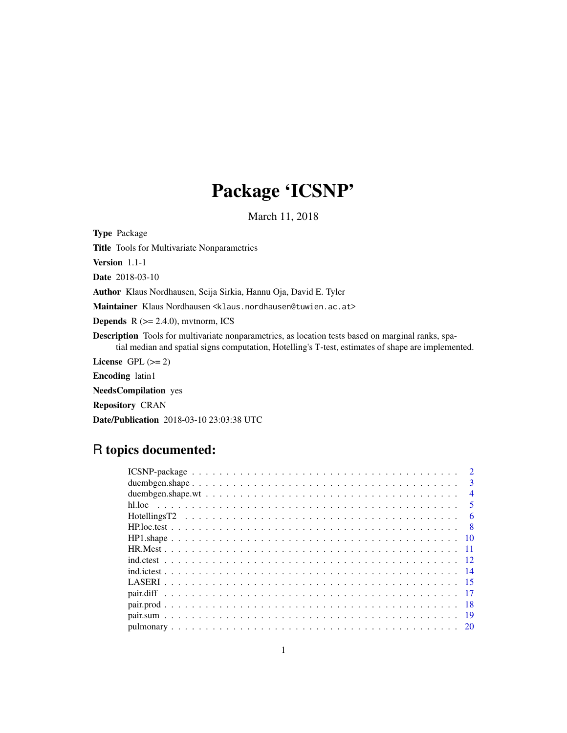# Package 'ICSNP'

March 11, 2018

<span id="page-0-0"></span>Type Package

Title Tools for Multivariate Nonparametrics

Version 1.1-1

Date 2018-03-10

Author Klaus Nordhausen, Seija Sirkia, Hannu Oja, David E. Tyler

Maintainer Klaus Nordhausen <klaus.nordhausen@tuwien.ac.at>

**Depends**  $R$  ( $>= 2.4.0$ ), mvtnorm, ICS

Description Tools for multivariate nonparametrics, as location tests based on marginal ranks, spatial median and spatial signs computation, Hotelling's T-test, estimates of shape are implemented.

License GPL  $(>= 2)$ 

Encoding latin1

NeedsCompilation yes

Repository CRAN

Date/Publication 2018-03-10 23:03:38 UTC

# R topics documented:

| $\mathcal{D}$           |  |
|-------------------------|--|
| $\mathbf{3}$            |  |
| $\overline{4}$          |  |
| $\overline{\mathbf{5}}$ |  |
| 6                       |  |
|                         |  |
|                         |  |
|                         |  |
|                         |  |
|                         |  |
|                         |  |
|                         |  |
|                         |  |
|                         |  |
|                         |  |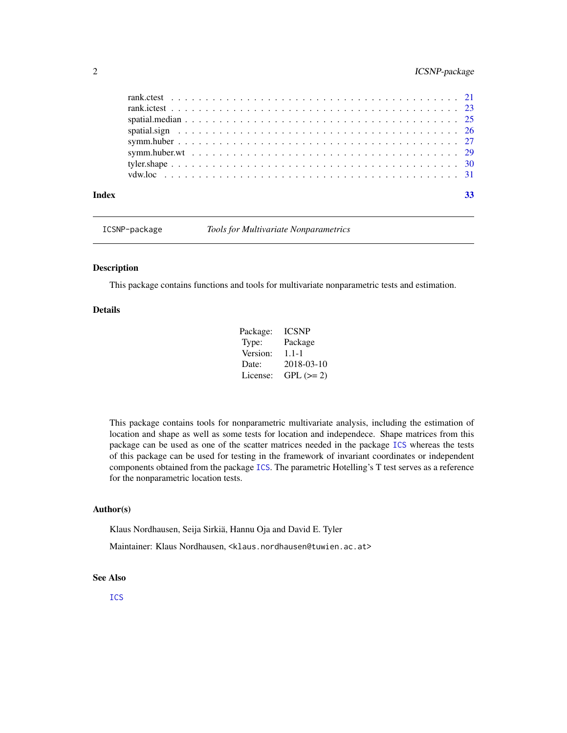# <span id="page-1-0"></span>2 ICSNP-package

ICSNP-package *Tools for Multivariate Nonparametrics*

#### Description

This package contains functions and tools for multivariate nonparametric tests and estimation.

# Details

| Package: | <b>ICSNP</b> |
|----------|--------------|
| Type:    | Package      |
| Version: | $1.1 - 1$    |
| Date:    | 2018-03-10   |
| License: | $GPL (=2)$   |

This package contains tools for nonparametric multivariate analysis, including the estimation of location and shape as well as some tests for location and independece. Shape matrices from this package can be used as one of the scatter matrices needed in the package [ICS](#page-0-0) whereas the tests of this package can be used for testing in the framework of invariant coordinates or independent components obtained from the package [ICS](#page-0-0). The parametric Hotelling's T test serves as a reference for the nonparametric location tests.

# Author(s)

Klaus Nordhausen, Seija Sirkiä, Hannu Oja and David E. Tyler

Maintainer: Klaus Nordhausen, <klaus.nordhausen@tuwien.ac.at>

# See Also

[ICS](#page-0-0)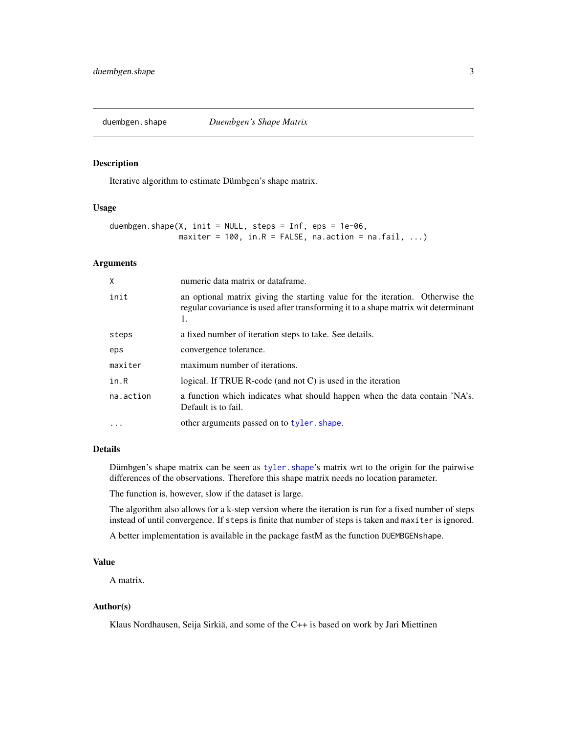<span id="page-2-1"></span><span id="page-2-0"></span>

# Description

Iterative algorithm to estimate Dümbgen's shape matrix.

#### Usage

```
duembgen.shape(X, init = NULL, steps = Inf, eps = 1e-06,
               maxiter = 100, in.R = FALSE, na. action = na. fail, ...)
```
#### Arguments

| X         | numeric data matrix or dataframe.                                                                                                                                         |
|-----------|---------------------------------------------------------------------------------------------------------------------------------------------------------------------------|
| init      | an optional matrix giving the starting value for the iteration. Otherwise the<br>regular covariance is used after transforming it to a shape matrix wit determinant<br>1. |
| steps     | a fixed number of iteration steps to take. See details.                                                                                                                   |
| eps       | convergence tolerance.                                                                                                                                                    |
| maxiter   | maximum number of iterations.                                                                                                                                             |
| in.R      | logical. If TRUE R-code (and not $C$ ) is used in the iteration                                                                                                           |
| na.action | a function which indicates what should happen when the data contain 'NA's.<br>Default is to fail.                                                                         |
| $\ddotsc$ | other arguments passed on to tyler. shape.                                                                                                                                |

# Details

Dümbgen's shape matrix can be seen as tyler. shape's matrix wrt to the origin for the pairwise differences of the observations. Therefore this shape matrix needs no location parameter.

The function is, however, slow if the dataset is large.

The algorithm also allows for a k-step version where the iteration is run for a fixed number of steps instead of until convergence. If steps is finite that number of steps is taken and maxiter is ignored.

A better implementation is available in the package fastM as the function DUEMBGENshape.

#### Value

A matrix.

# Author(s)

Klaus Nordhausen, Seija Sirkiä, and some of the C++ is based on work by Jari Miettinen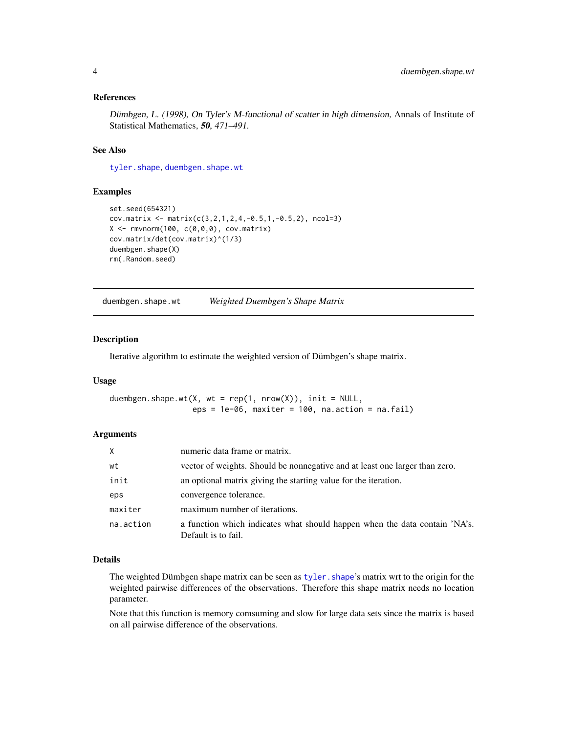#### <span id="page-3-0"></span>References

Dümbgen, L. (1998), On Tyler's M-functional of scatter in high dimension, Annals of Institute of Statistical Mathematics, 50, 471-491.

# See Also

[tyler.shape](#page-29-1), [duembgen.shape.wt](#page-3-1)

#### Examples

```
set.seed(654321)
cov.matrix <- matrix(c(3,2,1,2,4,-0.5,1,-0.5,2), ncol=3)
X \leftarrow \text{rmvnorm}(100, c(0,0,0), \text{cov}.\text{matrix})cov.matrix/det(cov.matrix)^(1/3)
duembgen.shape(X)
rm(.Random.seed)
```
<span id="page-3-1"></span>duembgen.shape.wt *Weighted Duembgen's Shape Matrix*

#### Description

Iterative algorithm to estimate the weighted version of Dümbgen's shape matrix.

# Usage

duembgen.shape.wt(X, wt =  $rep(1, nrow(X))$ , init = NULL,  $eps = 1e-06$ , maxiter = 100, na.action = na.fail)

#### **Arguments**

| X         | numeric data frame or matrix.                                                                     |
|-----------|---------------------------------------------------------------------------------------------------|
| wt        | vector of weights. Should be nonnegative and at least one larger than zero.                       |
| init      | an optional matrix giving the starting value for the iteration.                                   |
| eps       | convergence tolerance.                                                                            |
| maxiter   | maximum number of iterations.                                                                     |
| na.action | a function which indicates what should happen when the data contain 'NA's.<br>Default is to fail. |

#### Details

The weighted Dümbgen shape matrix can be seen as tyler. shape's matrix wrt to the origin for the weighted pairwise differences of the observations. Therefore this shape matrix needs no location parameter.

Note that this function is memory comsuming and slow for large data sets since the matrix is based on all pairwise difference of the observations.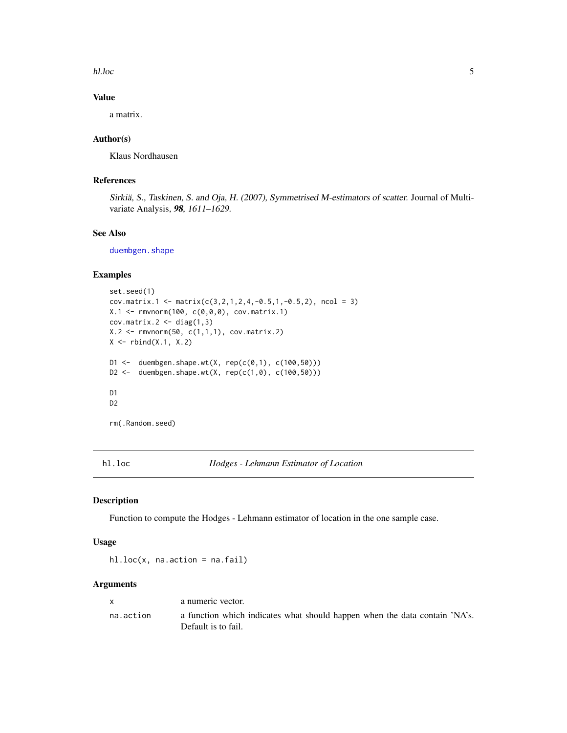<span id="page-4-0"></span>hl.loc 5

# Value

a matrix.

#### Author(s)

Klaus Nordhausen

#### References

Sirkiä, S., Taskinen, S. and Oja, H. (2007), Symmetrised M-estimators of scatter. Journal of Multivariate Analysis, 98, 1611–1629.

# See Also

[duembgen.shape](#page-2-1)

# Examples

```
set.seed(1)
cov.matrix.1 <- matrix(c(3,2,1,2,4,-0.5,1,-0.5,2), ncol = 3)
X.1 \leq rmvnorm(100, c(0, 0, 0), cov.matrix.1)cov.matrix.2 < - diag(1,3)X.2 \leq -\text{rmvnorm}(50, c(1,1,1), cov_matrix.2)X \leftarrow \text{rbind}(X.1, X.2)D1 \leq - duembgen.shape.wt(X, rep(c(0,1), c(100,50)))
D2 <- duembgen.shape.wt(X, rep(c(1,0), c(100,50)))D1
D2
rm(.Random.seed)
```
hl.loc *Hodges - Lehmann Estimator of Location*

#### Description

Function to compute the Hodges - Lehmann estimator of location in the one sample case.

#### Usage

hl.loc(x, na.action = na.fail)

#### Arguments

| X         | a numeric vector.                                                                                 |
|-----------|---------------------------------------------------------------------------------------------------|
| na.action | a function which indicates what should happen when the data contain 'NA's.<br>Default is to fail. |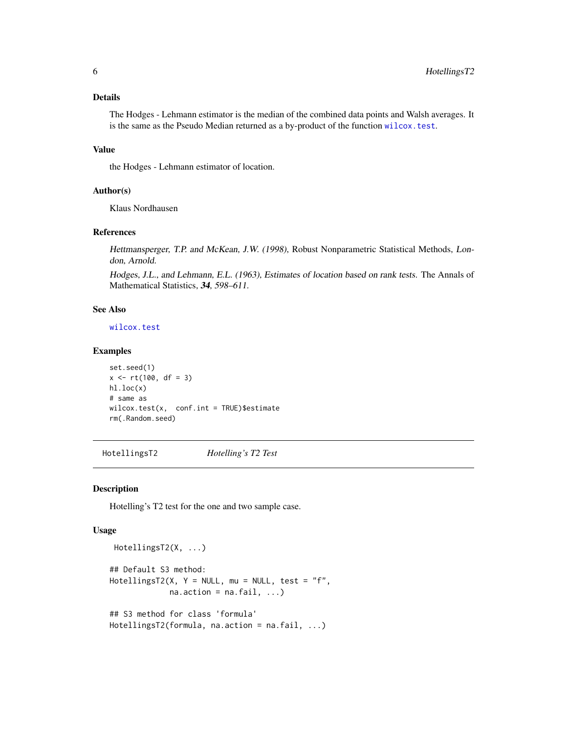# <span id="page-5-0"></span>Details

The Hodges - Lehmann estimator is the median of the combined data points and Walsh averages. It is the same as the Pseudo Median returned as a by-product of the function [wilcox.test](#page-0-0).

# Value

the Hodges - Lehmann estimator of location.

#### Author(s)

Klaus Nordhausen

#### References

Hettmansperger, T.P. and McKean, J.W. (1998), Robust Nonparametric Statistical Methods, London, Arnold.

Hodges, J.L., and Lehmann, E.L. (1963), Estimates of location based on rank tests. The Annals of Mathematical Statistics, 34, 598-611.

# See Also

[wilcox.test](#page-0-0)

# Examples

```
set.seed(1)
x \le -rt(100, df = 3)hl.loc(x)
# same as
wilcox.test(x, conf.int = TRUE)$estimate
rm(.Random.seed)
```
HotellingsT2 *Hotelling's T2 Test*

# Description

Hotelling's T2 test for the one and two sample case.

#### Usage

```
HotellingsT2(X, ...)
## Default S3 method:
HotellingsT2(X, Y = NULL, mu = NULL, test = "f",
             na. action = na. fail, ...)## S3 method for class 'formula'
HotellingsT2(formula, na.action = na.fail, ...)
```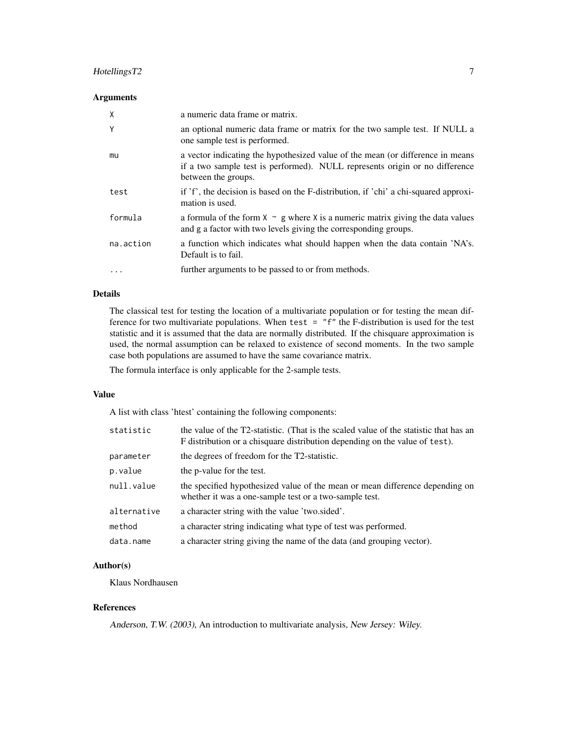# HotellingsT2 7

# Arguments

| X         | a numeric data frame or matrix.                                                                                                                                                       |
|-----------|---------------------------------------------------------------------------------------------------------------------------------------------------------------------------------------|
| Y         | an optional numeric data frame or matrix for the two sample test. If NULL a<br>one sample test is performed.                                                                          |
| mu        | a vector indicating the hypothesized value of the mean (or difference in means)<br>if a two sample test is performed). NULL represents origin or no difference<br>between the groups. |
| test      | if 'f', the decision is based on the F-distribution, if 'chi' a chi-squared approxi-<br>mation is used.                                                                               |
| formula   | a formula of the form $X \sim g$ where X is a numeric matrix giving the data values<br>and g a factor with two levels giving the corresponding groups.                                |
| na.action | a function which indicates what should happen when the data contain 'NA's.<br>Default is to fail.                                                                                     |
| $\cdots$  | further arguments to be passed to or from methods.                                                                                                                                    |

# Details

The classical test for testing the location of a multivariate population or for testing the mean difference for two multivariate populations. When test = "f" the F-distribution is used for the test statistic and it is assumed that the data are normally distributed. If the chisquare approximation is used, the normal assumption can be relaxed to existence of second moments. In the two sample case both populations are assumed to have the same covariance matrix.

The formula interface is only applicable for the 2-sample tests.

#### Value

A list with class 'htest' containing the following components:

| statistic   | the value of the T2-statistic. (That is the scaled value of the statistic that has an<br>F distribution or a chisquare distribution depending on the value of test). |
|-------------|----------------------------------------------------------------------------------------------------------------------------------------------------------------------|
| parameter   | the degrees of freedom for the T2-statistic.                                                                                                                         |
| p.value     | the p-value for the test.                                                                                                                                            |
| null.value  | the specified hypothesized value of the mean or mean difference depending on<br>whether it was a one-sample test or a two-sample test.                               |
| alternative | a character string with the value 'two.sided'.                                                                                                                       |
| method      | a character string indicating what type of test was performed.                                                                                                       |
| data.name   | a character string giving the name of the data (and grouping vector).                                                                                                |

# Author(s)

Klaus Nordhausen

# References

Anderson, T.W. (2003), An introduction to multivariate analysis, New Jersey: Wiley.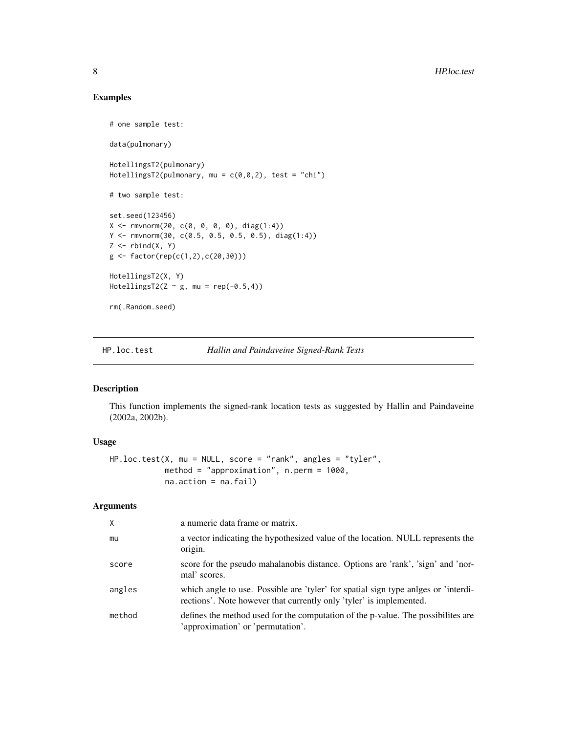# Examples

```
# one sample test:
data(pulmonary)
HotellingsT2(pulmonary)
HotellingsT2(pulmonary, mu = c(0,0,2), test = "chi")
# two sample test:
set.seed(123456)
X <- rmvnorm(20, c(0, 0, 0, 0), diag(1:4))
Y <- rmvnorm(30, c(0.5, 0.5, 0.5, 0.5), diag(1:4))
Z \leftarrow \text{rbind}(X, Y)g \leftarrow factor(rep(c(1,2),c(20,30)))HotellingsT2(X, Y)
HotellingsT2(Z \sim g, mu = rep(-0.5,4))
rm(.Random.seed)
```
HP.loc.test *Hallin and Paindaveine Signed-Rank Tests*

# Description

This function implements the signed-rank location tests as suggested by Hallin and Paindaveine (2002a, 2002b).

#### Usage

```
HP.loc.test(X, mu = NULL, score = "rank", angles = "tyler",
            method = "approximation", n.perm = 1000,
            na.action = na.fail)
```
# Arguments

| X      | a numeric data frame or matrix.                                                                                                                           |
|--------|-----------------------------------------------------------------------------------------------------------------------------------------------------------|
| mu     | a vector indicating the hypothesized value of the location. NULL represents the<br>origin.                                                                |
| score  | score for the pseudo mahalanobis distance. Options are 'rank', 'sign' and 'nor-<br>mal' scores.                                                           |
| angles | which angle to use. Possible are 'tyler' for spatial sign type angles or 'interdi-<br>rections'. Note however that currently only 'tyler' is implemented. |
| method | defines the method used for the computation of the p-value. The possibilities are<br>'approximation' or 'permutation'.                                    |

<span id="page-7-0"></span>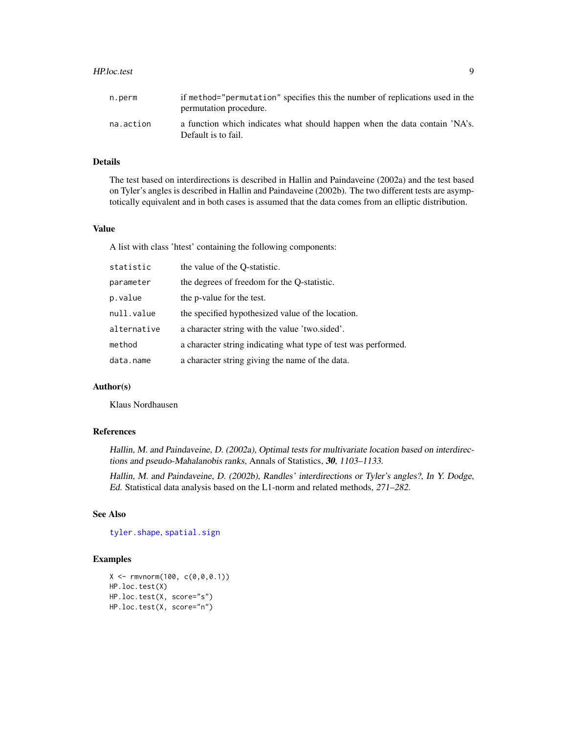#### <span id="page-8-0"></span>HP.loc.test 9

| n.perm    | if method="permutation" specifies this the number of replications used in the<br>permutation procedure. |
|-----------|---------------------------------------------------------------------------------------------------------|
| na.action | a function which indicates what should happen when the data contain 'NA's.<br>Default is to fail.       |

#### Details

The test based on interdirections is described in Hallin and Paindaveine (2002a) and the test based on Tyler's angles is described in Hallin and Paindaveine (2002b). The two different tests are asymptotically equivalent and in both cases is assumed that the data comes from an elliptic distribution.

# Value

A list with class 'htest' containing the following components:

| statistic   | the value of the Q-statistic.                                  |
|-------------|----------------------------------------------------------------|
| parameter   | the degrees of freedom for the O-statistic.                    |
| p.value     | the p-value for the test.                                      |
| null.value  | the specified hypothesized value of the location.              |
| alternative | a character string with the value 'two sided'.                 |
| method      | a character string indicating what type of test was performed. |
| data.name   | a character string giving the name of the data.                |

# Author(s)

Klaus Nordhausen

#### References

Hallin, M. and Paindaveine, D. (2002a), Optimal tests for multivariate location based on interdirections and pseudo-Mahalanobis ranks, Annals of Statistics, 30, 1103–1133.

Hallin, M. and Paindaveine, D. (2002b), Randles' interdirections or Tyler's angles?, In Y. Dodge, Ed. Statistical data analysis based on the L1-norm and related methods, 271–282.

# See Also

[tyler.shape](#page-29-1), [spatial.sign](#page-25-1)

#### Examples

```
X \leq -\text{rmvnorm}(100, c(0, 0, 0.1))HP.loc.test(X)
HP.loc.test(X, score="s")
HP.loc.test(X, score="n")
```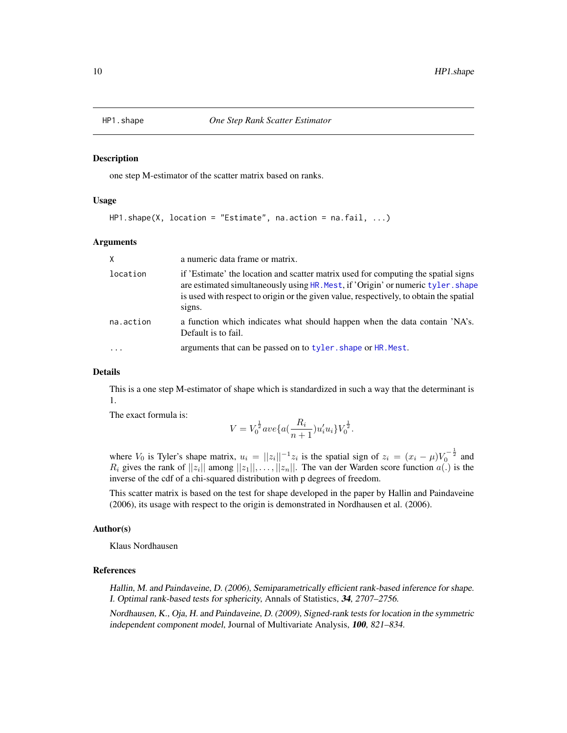<span id="page-9-0"></span>

#### Description

one step M-estimator of the scatter matrix based on ranks.

#### Usage

```
HP1.shape(X, location = "Estimate", na.action = na.fail, ...)
```
#### Arguments

| $\times$  | a numeric data frame or matrix.                                                                                                                                                                                                                                            |
|-----------|----------------------------------------------------------------------------------------------------------------------------------------------------------------------------------------------------------------------------------------------------------------------------|
| location  | if 'Estimate' the location and scatter matrix used for computing the spatial signs<br>are estimated simultaneously using HR. Mest, if 'Origin' or numeric tyler. shape<br>is used with respect to origin or the given value, respectively, to obtain the spatial<br>signs. |
| na.action | a function which indicates what should happen when the data contain 'NA's.<br>Default is to fail.                                                                                                                                                                          |
|           | arguments that can be passed on to tyler. shape or HR. Mest.                                                                                                                                                                                                               |

# Details

This is a one step M-estimator of shape which is standardized in such a way that the determinant is 1.

The exact formula is:

$$
V = V_0^{\frac{1}{2}}ave\{a(\frac{R_i}{n+1})u_i'u_i\}V_0^{\frac{1}{2}}.
$$

where  $V_0$  is Tyler's shape matrix,  $u_i = ||z_i||^{-1}z_i$  is the spatial sign of  $z_i = (x_i - \mu)V_0^{-\frac{1}{2}}$  and  $R_i$  gives the rank of  $||z_i||$  among  $||z_1||, \ldots, ||z_n||$ . The van der Warden score function  $a(.)$  is the inverse of the cdf of a chi-squared distribution with p degrees of freedom.

This scatter matrix is based on the test for shape developed in the paper by Hallin and Paindaveine (2006), its usage with respect to the origin is demonstrated in Nordhausen et al. (2006).

# Author(s)

Klaus Nordhausen

# References

Hallin, M. and Paindaveine, D. (2006), Semiparametrically efficient rank-based inference for shape. I. Optimal rank-based tests for sphericity, Annals of Statistics, 34, 2707–2756.

Nordhausen, K., Oja, H. and Paindaveine, D. (2009), Signed-rank tests for location in the symmetric independent component model, Journal of Multivariate Analysis, 100, 821–834.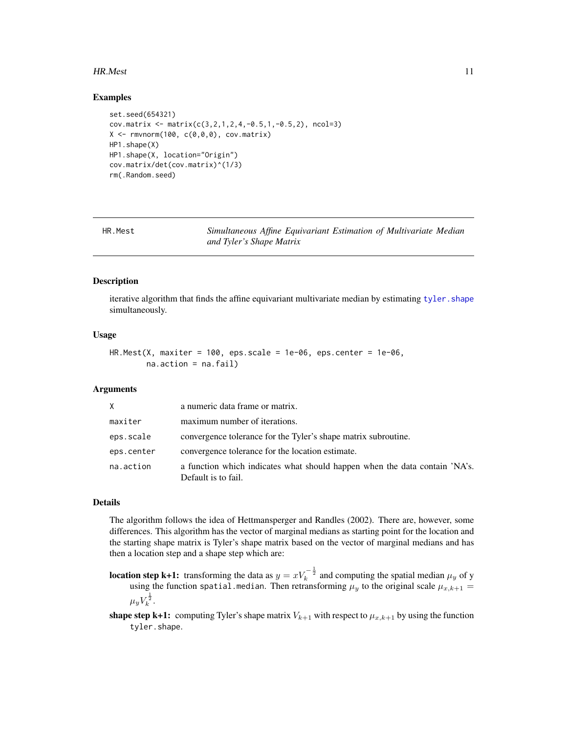#### <span id="page-10-0"></span>HR.Mest 11

#### Examples

```
set.seed(654321)
cov.matrix <- matrix(c(3, 2, 1, 2, 4, -0.5, 1, -0.5, 2), ncol=3)
X \leq rmvnorm(100, c(0,0,0), cov.matrix)
HP1.shape(X)
HP1.shape(X, location="Origin")
cov.matrix/det(cov.matrix)^(1/3)
rm(.Random.seed)
```
<span id="page-10-1"></span>

| HR.Mest | Simultaneous Affine Equivariant Estimation of Multivariate Median |  |  |  |
|---------|-------------------------------------------------------------------|--|--|--|
|         | and Tyler's Shape Matrix                                          |  |  |  |

# Description

iterative algorithm that finds the affine equivariant multivariate median by estimating tyler. shape simultaneously.

#### Usage

 $HR.Mest(X, maxiter = 100,eps.scale = 1e-06,eps.center = 1e-06,$ na.action = na.fail)

#### Arguments

| X.         | a numeric data frame or matrix.                                                                   |
|------------|---------------------------------------------------------------------------------------------------|
| maxiter    | maximum number of iterations.                                                                     |
| eps.scale  | convergence tolerance for the Tyler's shape matrix subroutine.                                    |
| eps.center | convergence tolerance for the location estimate.                                                  |
| na.action  | a function which indicates what should happen when the data contain 'NA's.<br>Default is to fail. |

#### Details

The algorithm follows the idea of Hettmansperger and Randles (2002). There are, however, some differences. This algorithm has the vector of marginal medians as starting point for the location and the starting shape matrix is Tyler's shape matrix based on the vector of marginal medians and has then a location step and a shape step which are:

- **location step k+1:** transforming the data as  $y = xV_k^{-\frac{1}{2}}$  and computing the spatial median  $\mu_y$  of y using the function spatial.median. Then retransforming  $\mu_y$  to the original scale  $\mu_{x,k+1} =$  $\mu_y V_k^{\frac{1}{2}}.$
- **shape step k+1:** computing Tyler's shape matrix  $V_{k+1}$  with respect to  $\mu_{x,k+1}$  by using the function tyler.shape.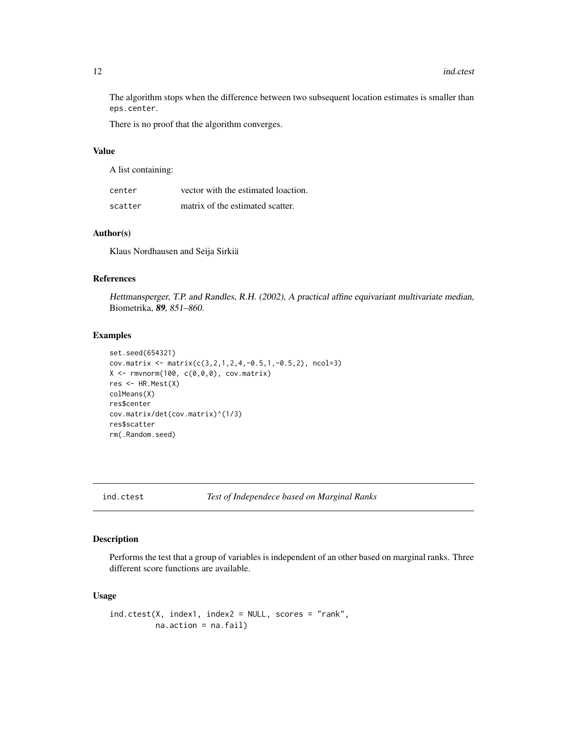The algorithm stops when the difference between two subsequent location estimates is smaller than eps.center.

There is no proof that the algorithm converges.

#### Value

A list containing:

| center  | vector with the estimated loaction. |
|---------|-------------------------------------|
| scatter | matrix of the estimated scatter.    |

# Author(s)

Klaus Nordhausen and Seija Sirkiä

#### References

Hettmansperger, T.P. and Randles, R.H. (2002), A practical affine equivariant multivariate median, Biometrika, 89, 851–860.

# Examples

```
set.seed(654321)
cov.matrix <- matrix(c(3, 2, 1, 2, 4, -0.5, 1, -0.5, 2), ncol=3)
X \leftarrow \text{rmvnorm}(100, c(0,0,0), \text{cov}.\text{matrix})res \leq HR. Mest(X)colMeans(X)
res$center
cov.matrix/det(cov.matrix)^(1/3)
res$scatter
rm(.Random.seed)
```
ind.ctest *Test of Independece based on Marginal Ranks*

# Description

Performs the test that a group of variables is independent of an other based on marginal ranks. Three different score functions are available.

#### Usage

```
ind.ctest(X, index1, index2 = NULL, scores = "rank",
         na.action = na.fail)
```
<span id="page-11-0"></span>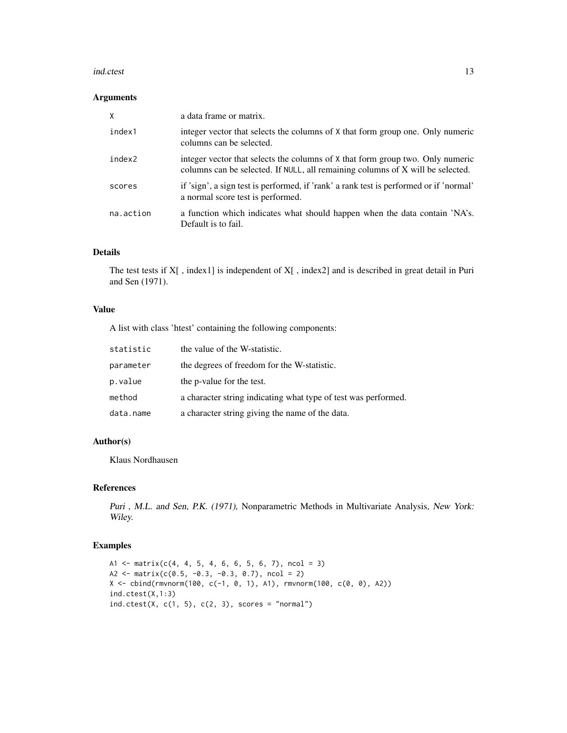#### ind.ctest 13

#### Arguments

| X         | a data frame or matrix.                                                                                                                                          |
|-----------|------------------------------------------------------------------------------------------------------------------------------------------------------------------|
| index1    | integer vector that selects the columns of X that form group one. Only numeric<br>columns can be selected.                                                       |
| index2    | integer vector that selects the columns of X that form group two. Only numeric<br>columns can be selected. If NULL, all remaining columns of X will be selected. |
| scores    | if 'sign', a sign test is performed, if 'rank' a rank test is performed or if 'normal'<br>a normal score test is performed.                                      |
| na.action | a function which indicates what should happen when the data contain 'NA's.<br>Default is to fail.                                                                |

# Details

The test tests if X[ , index1] is independent of X[ , index2] and is described in great detail in Puri and Sen (1971).

# Value

A list with class 'htest' containing the following components:

| statistic | the value of the W-statistic.                                  |
|-----------|----------------------------------------------------------------|
| parameter | the degrees of freedom for the W-statistic.                    |
| p.value   | the p-value for the test.                                      |
| method    | a character string indicating what type of test was performed. |
| data.name | a character string giving the name of the data.                |

#### Author(s)

Klaus Nordhausen

# References

Puri , M.L. and Sen, P.K. (1971), Nonparametric Methods in Multivariate Analysis, New York: Wiley.

# Examples

```
A1 \le matrix(c(4, 4, 5, 4, 6, 6, 5, 6, 7), ncol = 3)
A2 <- matrix(c(0.5, -0.3, -0.3, 0.7), ncol = 2)
X <- cbind(rmvnorm(100, c(-1, 0, 1), A1), rmvnorm(100, c(0, 0), A2))
ind.ctest(X,1:3)
ind.ctest(X, c(1, 5), c(2, 3), scores = "normal")
```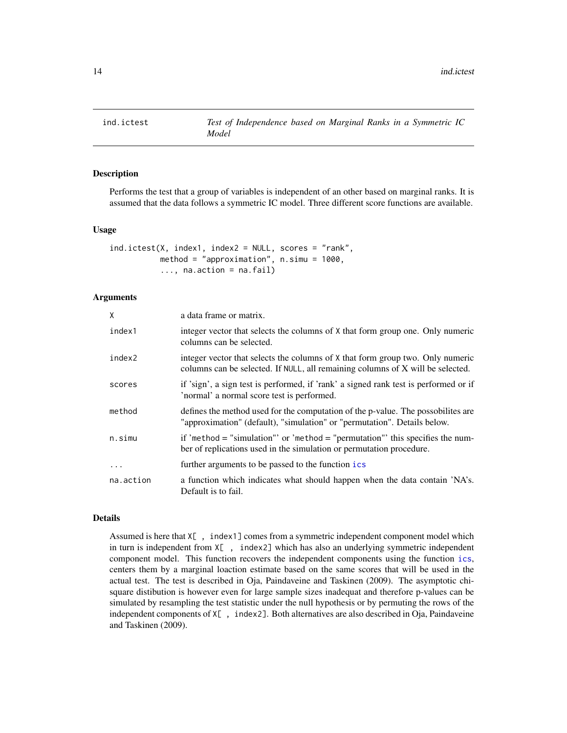<span id="page-13-0"></span>

#### Description

Performs the test that a group of variables is independent of an other based on marginal ranks. It is assumed that the data follows a symmetric IC model. Three different score functions are available.

#### Usage

```
ind.ictest(X, index1, index2 = NULL, scores = "rank",
           method = "approximation", n.simu = 1000,
           \ldots, na.action = na.fail)
```
#### **Arguments**

| X         | a data frame or matrix.                                                                                                                                          |
|-----------|------------------------------------------------------------------------------------------------------------------------------------------------------------------|
| index1    | integer vector that selects the columns of X that form group one. Only numeric<br>columns can be selected.                                                       |
| index2    | integer vector that selects the columns of X that form group two. Only numeric<br>columns can be selected. If NULL, all remaining columns of X will be selected. |
| scores    | if 'sign', a sign test is performed, if 'rank' a signed rank test is performed or if<br>'normal' a normal score test is performed.                               |
| method    | defines the method used for the computation of the p-value. The possobilities are<br>"approximation" (default), "simulation" or "permutation". Details below.    |
| n.simu    | if 'method = "simulation" or 'method = "permutation" this specifies the num-<br>ber of replications used in the simulation or permutation procedure.             |
| $\cdot$   | further arguments to be passed to the function ics                                                                                                               |
| na.action | a function which indicates what should happen when the data contain 'NA's.<br>Default is to fail.                                                                |

#### Details

Assumed is here that X[ , index1] comes from a symmetric independent component model which in turn is independent from X[ , index2] which has also an underlying symmetric independent component model. This function recovers the independent components using the function [ics](#page-0-0), centers them by a marginal loaction estimate based on the same scores that will be used in the actual test. The test is described in Oja, Paindaveine and Taskinen (2009). The asymptotic chisquare distibution is however even for large sample sizes inadequat and therefore p-values can be simulated by resampling the test statistic under the null hypothesis or by permuting the rows of the independent components of X[ , index2]. Both alternatives are also described in Oja, Paindaveine and Taskinen (2009).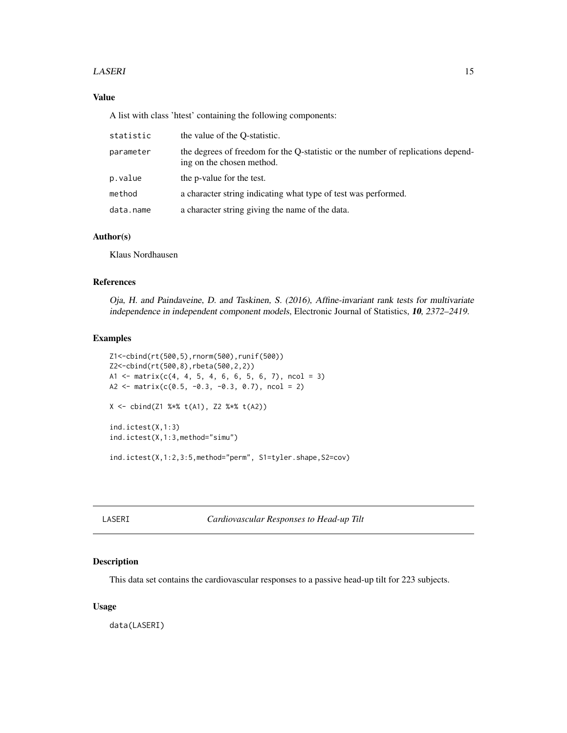#### <span id="page-14-0"></span>LASERI 15

# Value

A list with class 'htest' containing the following components:

| statistic | the value of the O-statistic.                                                                                 |
|-----------|---------------------------------------------------------------------------------------------------------------|
| parameter | the degrees of freedom for the Q-statistic or the number of replications depend-<br>ing on the chosen method. |
| p.value   | the p-value for the test.                                                                                     |
| method    | a character string indicating what type of test was performed.                                                |
| data.name | a character string giving the name of the data.                                                               |

#### Author(s)

Klaus Nordhausen

# References

Oja, H. and Paindaveine, D. and Taskinen, S. (2016), Affine-invariant rank tests for multivariate independence in independent component models, Electronic Journal of Statistics, 10, 2372–2419.

# Examples

```
Z1<-cbind(rt(500,5),rnorm(500),runif(500))
Z2<-cbind(rt(500,8),rbeta(500,2,2))
A1 \le matrix(c(4, 4, 5, 4, 6, 6, 5, 6, 7), ncol = 3)
A2 <- matrix(c(0.5, -0.3, -0.3, 0.7), ncol = 2)
X <- cbind(Z1 %*% t(A1), Z2 %*% t(A2))
ind.ictest(X,1:3)
ind.ictest(X,1:3,method="simu")
ind.ictest(X,1:2,3:5,method="perm", S1=tyler.shape,S2=cov)
```
LASERI *Cardiovascular Responses to Head-up Tilt*

#### Description

This data set contains the cardiovascular responses to a passive head-up tilt for 223 subjects.

#### Usage

data(LASERI)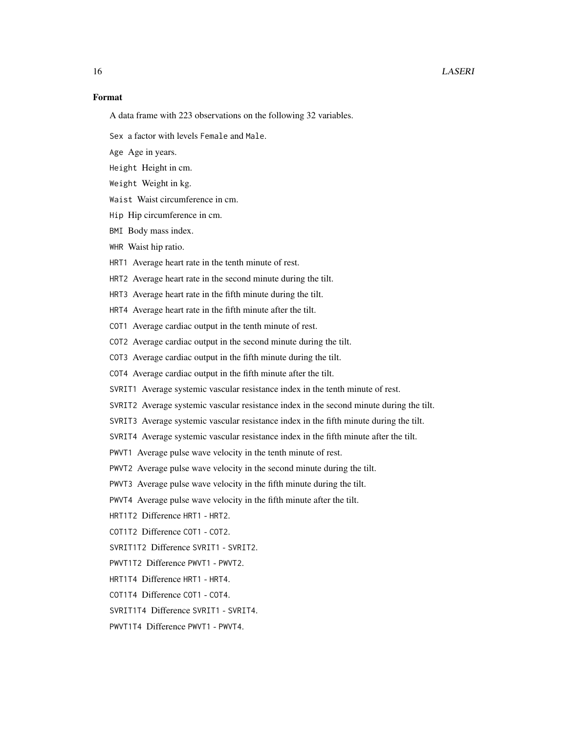# Format

A data frame with 223 observations on the following 32 variables.

Sex a factor with levels Female and Male.

Age Age in years.

Height Height in cm.

Weight Weight in kg.

Waist Waist circumference in cm.

Hip Hip circumference in cm.

BMI Body mass index.

WHR Waist hip ratio.

HRT1 Average heart rate in the tenth minute of rest.

HRT2 Average heart rate in the second minute during the tilt.

HRT3 Average heart rate in the fifth minute during the tilt.

HRT4 Average heart rate in the fifth minute after the tilt.

COT1 Average cardiac output in the tenth minute of rest.

COT2 Average cardiac output in the second minute during the tilt.

COT3 Average cardiac output in the fifth minute during the tilt.

COT4 Average cardiac output in the fifth minute after the tilt.

SVRIT1 Average systemic vascular resistance index in the tenth minute of rest.

SVRIT2 Average systemic vascular resistance index in the second minute during the tilt.

SVRIT3 Average systemic vascular resistance index in the fifth minute during the tilt.

SVRIT4 Average systemic vascular resistance index in the fifth minute after the tilt.

PWVT1 Average pulse wave velocity in the tenth minute of rest.

PWVT2 Average pulse wave velocity in the second minute during the tilt.

PWVT3 Average pulse wave velocity in the fifth minute during the tilt.

PWVT4 Average pulse wave velocity in the fifth minute after the tilt.

HRT1T2 Difference HRT1 - HRT2.

COT1T2 Difference COT1 - COT2.

SVRIT1T2 Difference SVRIT1 - SVRIT2.

PWVT1T2 Difference PWVT1 - PWVT2.

- HRT1T4 Difference HRT1 HRT4.
- COT1T4 Difference COT1 COT4.

SVRIT1T4 Difference SVRIT1 - SVRIT4.

PWVT1T4 Difference PWVT1 - PWVT4.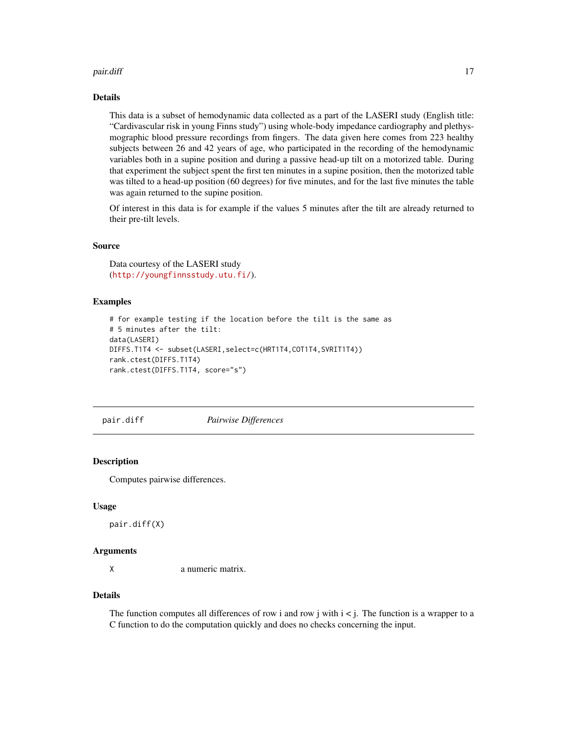#### <span id="page-16-0"></span>pair.diff the contract of the contract of the contract of the contract of the contract of the contract of the contract of the contract of the contract of the contract of the contract of the contract of the contract of the

# Details

This data is a subset of hemodynamic data collected as a part of the LASERI study (English title: "Cardivascular risk in young Finns study") using whole-body impedance cardiography and plethysmographic blood pressure recordings from fingers. The data given here comes from 223 healthy subjects between 26 and 42 years of age, who participated in the recording of the hemodynamic variables both in a supine position and during a passive head-up tilt on a motorized table. During that experiment the subject spent the first ten minutes in a supine position, then the motorized table was tilted to a head-up position (60 degrees) for five minutes, and for the last five minutes the table was again returned to the supine position.

Of interest in this data is for example if the values 5 minutes after the tilt are already returned to their pre-tilt levels.

#### Source

Data courtesy of the LASERI study (<http://youngfinnsstudy.utu.fi/>).

# **Examples**

```
# for example testing if the location before the tilt is the same as
# 5 minutes after the tilt:
data(LASERI)
DIFFS.T1T4 <- subset(LASERI,select=c(HRT1T4,COT1T4,SVRIT1T4))
rank.ctest(DIFFS.T1T4)
rank.ctest(DIFFS.T1T4, score="s")
```
<span id="page-16-1"></span>

pair.diff *Pairwise Differences*

#### **Description**

Computes pairwise differences.

#### Usage

pair.diff(X)

#### Arguments

X a numeric matrix.

# Details

The function computes all differences of row i and row j with  $i < j$ . The function is a wrapper to a C function to do the computation quickly and does no checks concerning the input.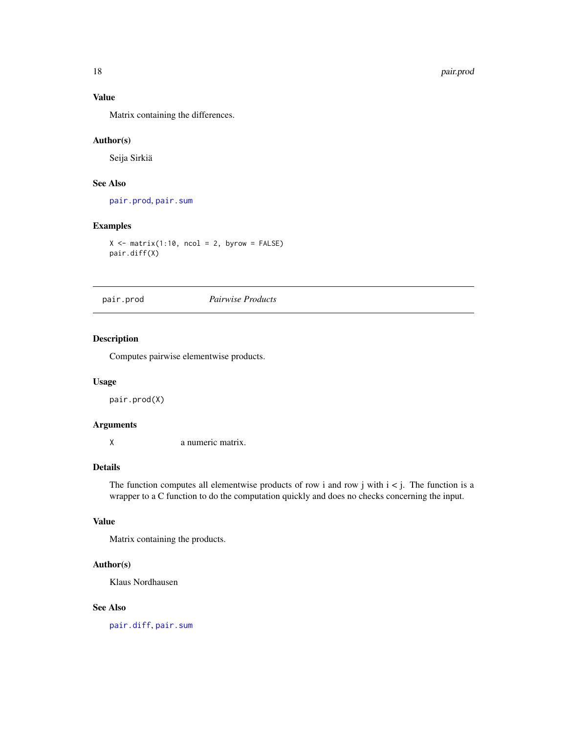# Value

Matrix containing the differences.

# Author(s)

Seija Sirkiä

# See Also

[pair.prod](#page-17-1), [pair.sum](#page-18-1)

# Examples

```
X \leftarrow matrix(1:10, ncol = 2, byrow = FALSE)pair.diff(X)
```
<span id="page-17-1"></span>

# pair.prod *Pairwise Products*

# Description

Computes pairwise elementwise products.

# Usage

pair.prod(X)

#### Arguments

X a numeric matrix.

# Details

The function computes all elementwise products of row i and row j with  $i < j$ . The function is a wrapper to a C function to do the computation quickly and does no checks concerning the input.

# Value

Matrix containing the products.

# Author(s)

Klaus Nordhausen

# See Also

[pair.diff](#page-16-1), [pair.sum](#page-18-1)

<span id="page-17-0"></span>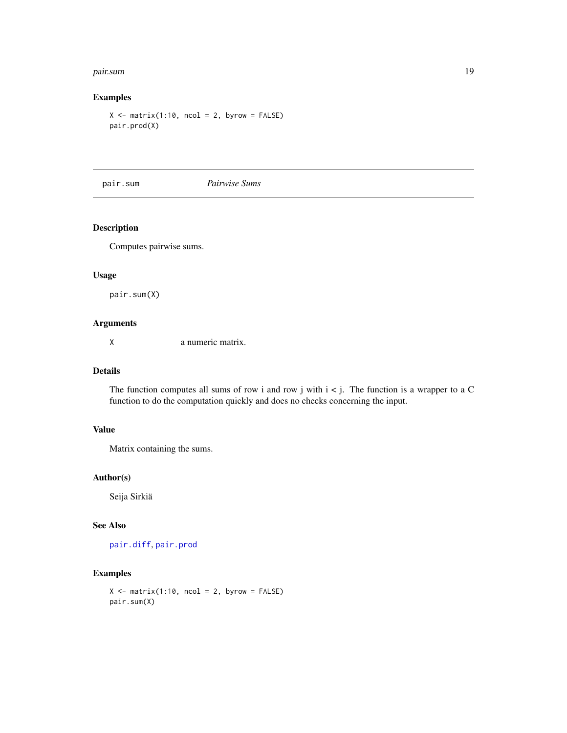#### <span id="page-18-0"></span>pair.sum 19

# Examples

 $X \le -$  matrix(1:10, ncol = 2, byrow = FALSE) pair.prod(X)

<span id="page-18-1"></span>pair.sum *Pairwise Sums*

# Description

Computes pairwise sums.

#### Usage

pair.sum(X)

# Arguments

X a numeric matrix.

#### Details

The function computes all sums of row i and row j with  $i < j$ . The function is a wrapper to a C function to do the computation quickly and does no checks concerning the input.

# Value

Matrix containing the sums.

#### Author(s)

Seija Sirkiä

# See Also

[pair.diff](#page-16-1), [pair.prod](#page-17-1)

# Examples

```
X \leftarrow matrix(1:10, ncol = 2, byrow = FALSE)pair.sum(X)
```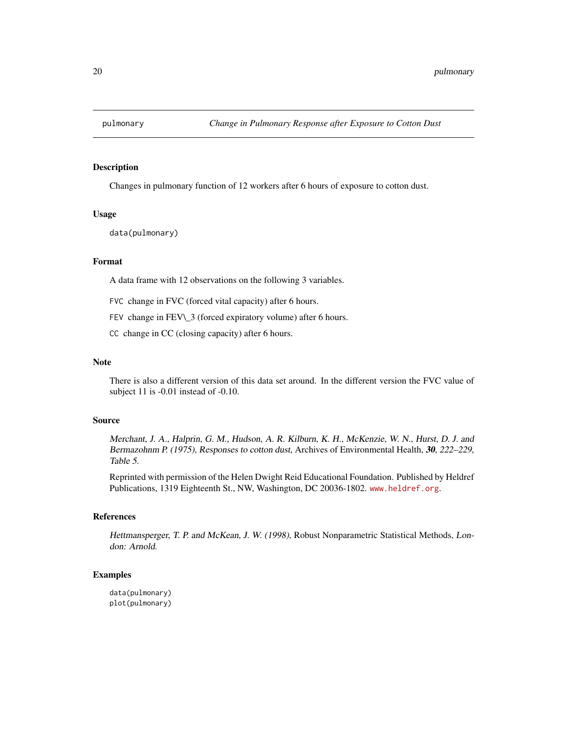<span id="page-19-0"></span>

# Description

Changes in pulmonary function of 12 workers after 6 hours of exposure to cotton dust.

#### Usage

data(pulmonary)

#### Format

A data frame with 12 observations on the following 3 variables.

FVC change in FVC (forced vital capacity) after 6 hours.

FEV change in FEV\\_3 (forced expiratory volume) after 6 hours.

CC change in CC (closing capacity) after 6 hours.

# Note

There is also a different version of this data set around. In the different version the FVC value of subject 11 is -0.01 instead of -0.10.

#### Source

Merchant, J. A., Halprin, G. M., Hudson, A. R. Kilburn, K. H., McKenzie, W. N., Hurst, D. J. and Bermazohnm P. (1975), Responses to cotton dust, Archives of Environmental Health, 30, 222–229, Table 5.

Reprinted with permission of the Helen Dwight Reid Educational Foundation. Published by Heldref Publications, 1319 Eighteenth St., NW, Washington, DC 20036-1802. <www.heldref.org>.

# References

Hettmansperger, T. P. and McKean, J. W. (1998), Robust Nonparametric Statistical Methods, London: Arnold.

# Examples

data(pulmonary) plot(pulmonary)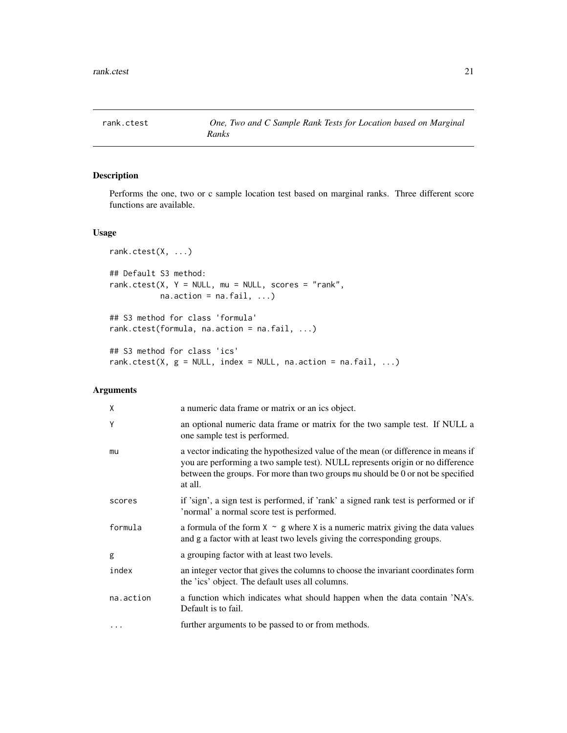<span id="page-20-0"></span>

# Description

Performs the one, two or c sample location test based on marginal ranks. Three different score functions are available.

# Usage

```
rank.ctest(X, ...)
## Default S3 method:
rank.ctest(X, Y = NULL, mu = NULL, scores = "rank",
          na. action = na. fail, ...)## S3 method for class 'formula'
rank.ctest(formula, na.action = na.fail, ...)
## S3 method for class 'ics'
rank.ctest(X, g = NULL, index = NULL, na.action = na.fail, ...)
```
# Arguments

| X         | a numeric data frame or matrix or an ics object.                                                                                                                                                                                                                  |
|-----------|-------------------------------------------------------------------------------------------------------------------------------------------------------------------------------------------------------------------------------------------------------------------|
| Y         | an optional numeric data frame or matrix for the two sample test. If NULL a<br>one sample test is performed.                                                                                                                                                      |
| mu        | a vector indicating the hypothesized value of the mean (or difference in means if<br>you are performing a two sample test). NULL represents origin or no difference<br>between the groups. For more than two groups mu should be 0 or not be specified<br>at all. |
| scores    | if 'sign', a sign test is performed, if 'rank' a signed rank test is performed or if<br>'normal' a normal score test is performed.                                                                                                                                |
| formula   | a formula of the form $X \sim g$ where X is a numeric matrix giving the data values<br>and g a factor with at least two levels giving the corresponding groups.                                                                                                   |
| g         | a grouping factor with at least two levels.                                                                                                                                                                                                                       |
| index     | an integer vector that gives the columns to choose the invariant coordinates form<br>the 'ics' object. The default uses all columns.                                                                                                                              |
| na.action | a function which indicates what should happen when the data contain 'NA's.<br>Default is to fail.                                                                                                                                                                 |
| $\ddots$  | further arguments to be passed to or from methods.                                                                                                                                                                                                                |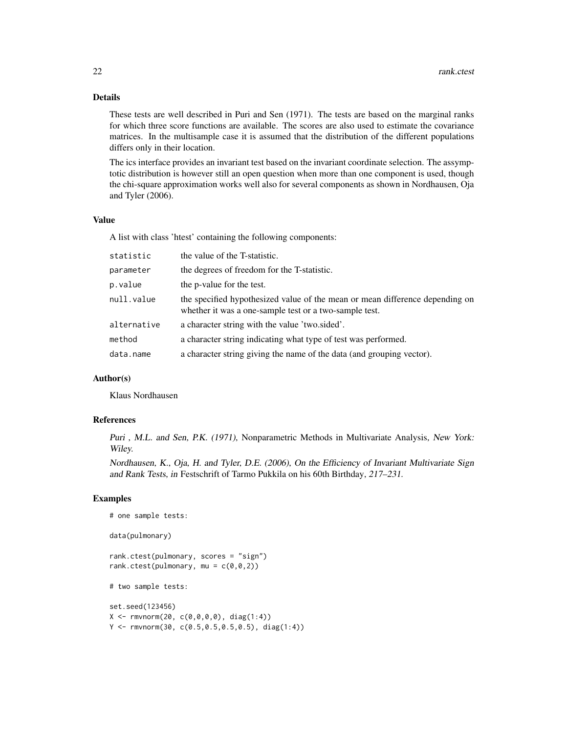# Details

These tests are well described in Puri and Sen (1971). The tests are based on the marginal ranks for which three score functions are available. The scores are also used to estimate the covariance matrices. In the multisample case it is assumed that the distribution of the different populations differs only in their location.

The ics interface provides an invariant test based on the invariant coordinate selection. The assymptotic distribution is however still an open question when more than one component is used, though the chi-square approximation works well also for several components as shown in Nordhausen, Oja and Tyler (2006).

#### Value

A list with class 'htest' containing the following components:

| statistic   | the value of the T-statistic.                                                                                                          |
|-------------|----------------------------------------------------------------------------------------------------------------------------------------|
| parameter   | the degrees of freedom for the T-statistic.                                                                                            |
| p.value     | the p-value for the test.                                                                                                              |
| null.value  | the specified hypothesized value of the mean or mean difference depending on<br>whether it was a one-sample test or a two-sample test. |
| alternative | a character string with the value 'two.sided'.                                                                                         |
| method      | a character string indicating what type of test was performed.                                                                         |
| data.name   | a character string giving the name of the data (and grouping vector).                                                                  |

#### Author(s)

Klaus Nordhausen

# one sample tests:

#### References

Puri , M.L. and Sen, P.K. (1971), Nonparametric Methods in Multivariate Analysis, New York: Wiley.

Nordhausen, K., Oja, H. and Tyler, D.E. (2006), On the Efficiency of Invariant Multivariate Sign and Rank Tests, in Festschrift of Tarmo Pukkila on his 60th Birthday, 217–231.

#### Examples

```
data(pulmonary)
rank.ctest(pulmonary, scores = "sign")
rank.ctest(pulmonary, mu = c(\theta, \theta, 2))
# two sample tests:
set.seed(123456)
X \leq -\text{rmvnorm}(20, c(0,0,0,0), \text{diag}(1:4))Y <- rmvnorm(30, c(0.5,0.5,0.5,0.5), diag(1:4))
```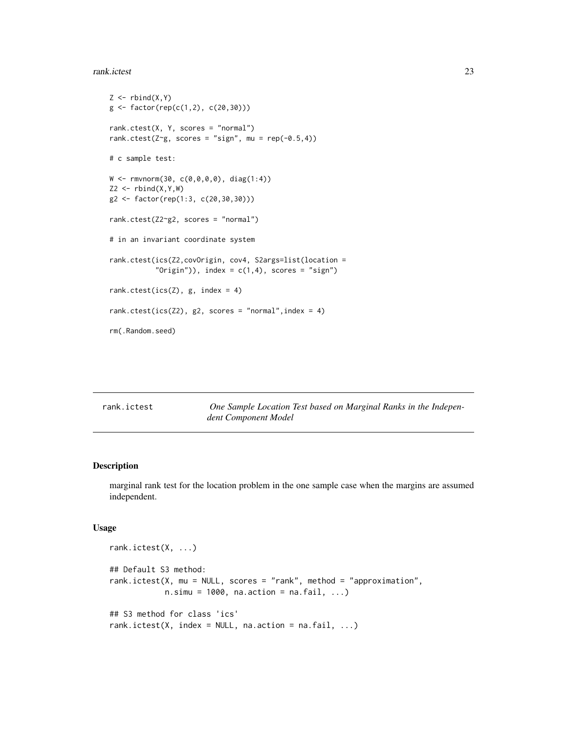#### <span id="page-22-0"></span>rank.ictest 23

```
Z \leftarrow \text{rbind}(X, Y)g \leftarrow factor(rep(c(1,2), c(20,30)))rank.ctest(X, Y, scores = "normal")
rank.ctest(Z^g, scores = "sign", mu = rep(-0.5,4))
# c sample test:
W <- rmvnorm(30, c(0,0,0,0), diag(1:4))
Z2 \leq -rbind(X,Y,W)g2 <- factor(rep(1:3, c(20,30,30)))
rank.ctest(Z2~g2, scores = "normal")
# in an invariant coordinate system
rank.ctest(ics(Z2,covOrigin, cov4, S2args=list(location =
           "Origin")), index = c(1,4), scores = "sign")
rank.ctest(ics(Z), g, index = 4)
rank.ctest(ics(Z2), g2, scores = "normal", index = 4)
rm(.Random.seed)
```
rank.ictest *One Sample Location Test based on Marginal Ranks in the Independent Component Model*

#### Description

marginal rank test for the location problem in the one sample case when the margins are assumed independent.

#### Usage

```
rank.ictest(X, ...)
## Default S3 method:
rank.ictest(X, mu = NULL, scores = "rank", method = "approximation",
            n.simu = 1000, na. (kin) = na.fail, ...)## S3 method for class 'ics'
rank.ictest(X, index = NULL, na.action = na.fail, \dots)
```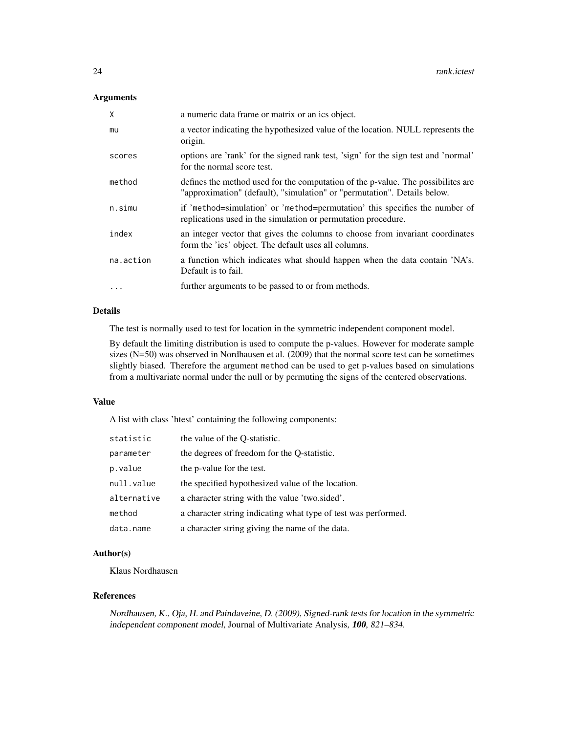# Arguments

| X         | a numeric data frame or matrix or an ics object.                                                                                                              |
|-----------|---------------------------------------------------------------------------------------------------------------------------------------------------------------|
| mu        | a vector indicating the hypothesized value of the location. NULL represents the<br>origin.                                                                    |
| scores    | options are 'rank' for the signed rank test, 'sign' for the sign test and 'normal'<br>for the normal score test.                                              |
| method    | defines the method used for the computation of the p-value. The possibilities are<br>"approximation" (default), "simulation" or "permutation". Details below. |
| n.simu    | if 'method=simulation' or 'method=permutation' this specifies the number of<br>replications used in the simulation or permutation procedure.                  |
| index     | an integer vector that gives the columns to choose from invariant coordinates<br>form the 'ics' object. The default uses all columns.                         |
| na.action | a function which indicates what should happen when the data contain 'NA's.<br>Default is to fail.                                                             |
| $\cdot$   | further arguments to be passed to or from methods.                                                                                                            |

# Details

The test is normally used to test for location in the symmetric independent component model.

By default the limiting distribution is used to compute the p-values. However for moderate sample sizes (N=50) was observed in Nordhausen et al. (2009) that the normal score test can be sometimes slightly biased. Therefore the argument method can be used to get p-values based on simulations from a multivariate normal under the null or by permuting the signs of the centered observations.

#### Value

A list with class 'htest' containing the following components:

| statistic   | the value of the O-statistic.                                  |
|-------------|----------------------------------------------------------------|
| parameter   | the degrees of freedom for the Q-statistic.                    |
| p.value     | the p-value for the test.                                      |
| null.value  | the specified hypothesized value of the location.              |
| alternative | a character string with the value 'two.sided'.                 |
| method      | a character string indicating what type of test was performed. |
| data.name   | a character string giving the name of the data.                |

# Author(s)

Klaus Nordhausen

# References

Nordhausen, K., Oja, H. and Paindaveine, D. (2009), Signed-rank tests for location in the symmetric independent component model, Journal of Multivariate Analysis, 100, 821–834.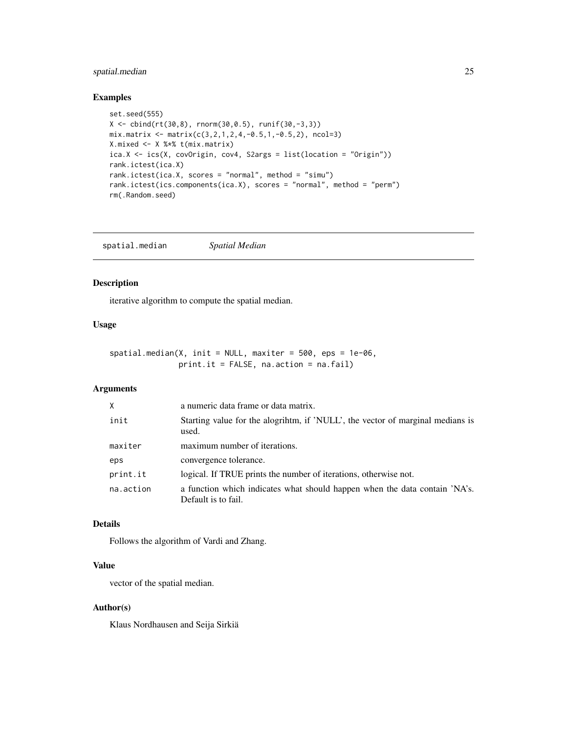# <span id="page-24-0"></span>spatial.median 25

# Examples

```
set.seed(555)
X \leftarrow \text{cbind(rt(30,8), rnorm(30,0.5), runif(30,-3,3))}mix.matrix \leftarrow matrix(c(3, 2, 1, 2, 4, -0.5, 1, -0.5, 2), ncol=3)X.mixed <- X %*% t(mix.matrix)
ica.X <- ics(X, covOrigin, cov4, S2args = list(location = "Origin"))
rank.ictest(ica.X)
rank.ictest(ica.X, scores = "normal", method = "simu")
rank.ictest(ics.components(ica.X), scores = "normal", method = "perm")
rm(.Random.seed)
```
<span id="page-24-1"></span>

#### Description

iterative algorithm to compute the spatial median.

# Usage

 $spatial.median(X, init = NULL, maxiter = 500,eps = 1e-06,$ print.it = FALSE, na.action = na.fail)

# Arguments

| X         | a numeric data frame or data matrix.                                                              |
|-----------|---------------------------------------------------------------------------------------------------|
| init      | Starting value for the alogrihtm, if 'NULL', the vector of marginal medians is<br>used.           |
| maxiter   | maximum number of iterations.                                                                     |
| eps       | convergence tolerance.                                                                            |
| print.it  | logical. If TRUE prints the number of iterations, otherwise not.                                  |
| na.action | a function which indicates what should happen when the data contain 'NA's.<br>Default is to fail. |

# Details

Follows the algorithm of Vardi and Zhang.

# Value

vector of the spatial median.

# Author(s)

Klaus Nordhausen and Seija Sirkiä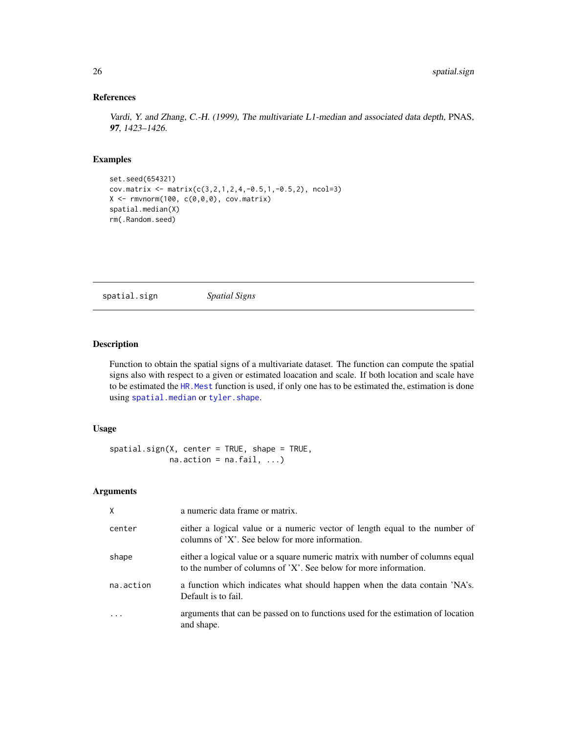# References

Vardi, Y. and Zhang, C.-H. (1999), The multivariate L1-median and associated data depth, PNAS, 97, 1423–1426.

# Examples

```
set.seed(654321)
cov.matrix <- matrix(c(3,2,1,2,4,-0.5,1,-0.5,2), ncol=3)
X \leftarrow \text{rmvnorm}(100, c(0,0,0), \text{cov}.\text{matrix})spatial.median(X)
rm(.Random.seed)
```
<span id="page-25-1"></span>spatial.sign *Spatial Signs*

#### Description

Function to obtain the spatial signs of a multivariate dataset. The function can compute the spatial signs also with respect to a given or estimated loacation and scale. If both location and scale have to be estimated the HR. Mest function is used, if only one has to be estimated the, estimation is done using [spatial.median](#page-24-1) or [tyler.shape](#page-29-1).

# Usage

```
spatial.sign(X, center = TRUE, shape = TRUE,
             na. action = na. fail, ...)
```
# Arguments

| X         | a numeric data frame or matrix.                                                                                                                    |
|-----------|----------------------------------------------------------------------------------------------------------------------------------------------------|
| center    | either a logical value or a numeric vector of length equal to the number of<br>columns of 'X'. See below for more information.                     |
| shape     | either a logical value or a square numeric matrix with number of columns equal<br>to the number of columns of 'X'. See below for more information. |
| na.action | a function which indicates what should happen when the data contain 'NA's.<br>Default is to fail.                                                  |
|           | arguments that can be passed on to functions used for the estimation of location<br>and shape.                                                     |

<span id="page-25-0"></span>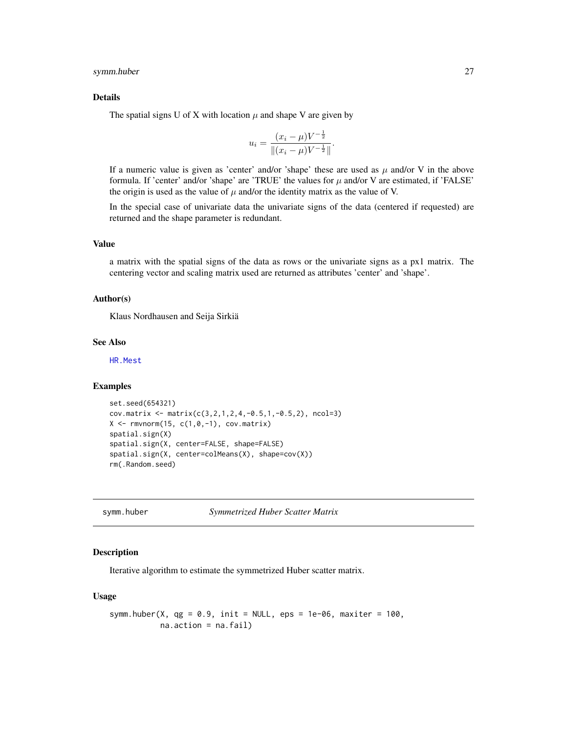#### <span id="page-26-0"></span>symm.huber 27

#### Details

The spatial signs U of X with location  $\mu$  and shape V are given by

$$
u_i = \frac{(x_i - \mu)V^{-\frac{1}{2}}}{\|(x_i - \mu)V^{-\frac{1}{2}}\|}.
$$

If a numeric value is given as 'center' and/or 'shape' these are used as  $\mu$  and/or V in the above formula. If 'center' and/or 'shape' are 'TRUE' the values for  $\mu$  and/or V are estimated, if 'FALSE' the origin is used as the value of  $\mu$  and/or the identity matrix as the value of V.

In the special case of univariate data the univariate signs of the data (centered if requested) are returned and the shape parameter is redundant.

# Value

a matrix with the spatial signs of the data as rows or the univariate signs as a px1 matrix. The centering vector and scaling matrix used are returned as attributes 'center' and 'shape'.

#### Author(s)

Klaus Nordhausen and Seija Sirkiä

# See Also

[HR.Mest](#page-10-1)

# Examples

```
set.seed(654321)
cov.matrix <- matrix(c(3,2,1,2,4,-0.5,1,-0.5,2), ncol=3)
X \leftarrow \text{rmvnorm}(15, c(1, 0, -1), \text{cov}.\text{matrix})spatial.sign(X)
spatial.sign(X, center=FALSE, shape=FALSE)
spatial.sign(X, center=colMeans(X), shape=cov(X))
rm(.Random.seed)
```
<span id="page-26-1"></span>symm.huber *Symmetrized Huber Scatter Matrix*

#### Description

Iterative algorithm to estimate the symmetrized Huber scatter matrix.

#### Usage

```
symm.huber(X, qg = 0.9, init = NULL, eps = 1e-06, maxiter = 100,
          na.action = na.fail)
```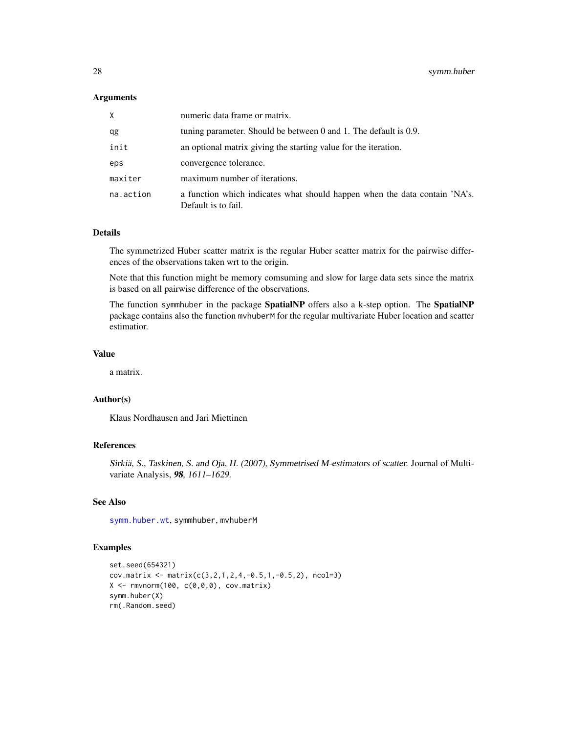#### <span id="page-27-0"></span>**Arguments**

| X.        | numeric data frame or matrix.                                                                     |
|-----------|---------------------------------------------------------------------------------------------------|
| qg        | tuning parameter. Should be between $0$ and $1$ . The default is $0.9$ .                          |
| init      | an optional matrix giving the starting value for the iteration.                                   |
| eps       | convergence tolerance.                                                                            |
| maxiter   | maximum number of iterations.                                                                     |
| na.action | a function which indicates what should happen when the data contain 'NA's.<br>Default is to fail. |

# Details

The symmetrized Huber scatter matrix is the regular Huber scatter matrix for the pairwise differences of the observations taken wrt to the origin.

Note that this function might be memory comsuming and slow for large data sets since the matrix is based on all pairwise difference of the observations.

The function symmhuber in the package SpatialNP offers also a k-step option. The SpatialNP package contains also the function mvhuberM for the regular multivariate Huber location and scatter estimatior.

#### Value

a matrix.

# Author(s)

Klaus Nordhausen and Jari Miettinen

# References

Sirkiä, S., Taskinen, S. and Oja, H. (2007), Symmetrised M-estimators of scatter. Journal of Multivariate Analysis, 98, 1611–1629.

# See Also

[symm.huber.wt](#page-28-1), symmhuber, mvhuberM

#### Examples

```
set.seed(654321)
cov.matrix <- matrix(c(3,2,1,2,4,-0.5,1,-0.5,2), ncol=3)
X \leftarrow \text{rmvnorm}(100, c(0,0,0), \text{cov}.\text{matrix})symm.huber(X)
rm(.Random.seed)
```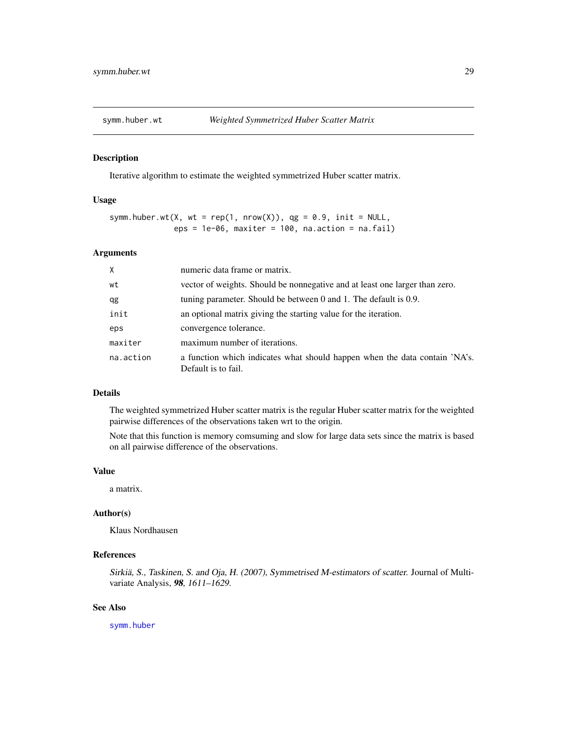<span id="page-28-1"></span><span id="page-28-0"></span>

#### Description

Iterative algorithm to estimate the weighted symmetrized Huber scatter matrix.

#### Usage

```
symm.huber.wt(X, wt = rep(1, nrow(X)), qg = 0.9, init = NULL,
              eps = 1e-06, maxiter = 100, na.action = na.fail)
```
#### Arguments

| $\times$  | numeric data frame or matrix.                                                                     |
|-----------|---------------------------------------------------------------------------------------------------|
| wt        | vector of weights. Should be nonnegative and at least one larger than zero.                       |
| qg        | tuning parameter. Should be between $0$ and $1$ . The default is $0.9$ .                          |
| init      | an optional matrix giving the starting value for the iteration.                                   |
| eps       | convergence tolerance.                                                                            |
| maxiter   | maximum number of iterations.                                                                     |
| na.action | a function which indicates what should happen when the data contain 'NA's.<br>Default is to fail. |

### Details

The weighted symmetrized Huber scatter matrix is the regular Huber scatter matrix for the weighted pairwise differences of the observations taken wrt to the origin.

Note that this function is memory comsuming and slow for large data sets since the matrix is based on all pairwise difference of the observations.

#### Value

a matrix.

# Author(s)

Klaus Nordhausen

# References

Sirkiä, S., Taskinen, S. and Oja, H. (2007), Symmetrised M-estimators of scatter. Journal of Multivariate Analysis, 98, 1611–1629.

#### See Also

[symm.huber](#page-26-1)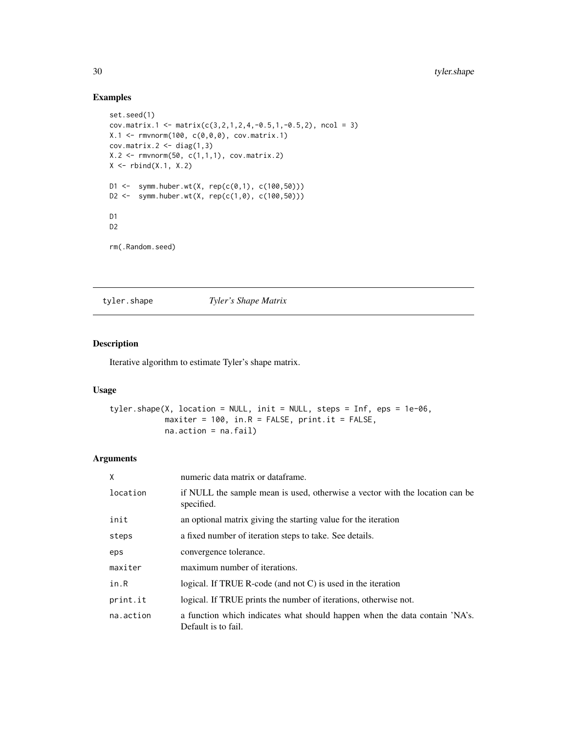# Examples

```
set.seed(1)
cov.max.1 \leq max(c(3,2,1,2,4,-0.5,1,-0.5,2), ncol = 3)X.1 <- rmvnorm(100, c(0,0,0), cov.matrix.1)
cov.matrix.2 \leftarrow diag(1,3)X.2 \leq rmvnorm(50, c(1,1,1), cov.matrix.2)X \leftarrow \text{rbind}(X.1, X.2)D1 <- symm.huber.wt(X, rep(c(0,1), c(100,50)))
D2 <- symm.huber.wt(X, rep(c(1,0), c(100,50)))
D1
D2
rm(.Random.seed)
```
<span id="page-29-1"></span>tyler.shape *Tyler's Shape Matrix*

# Description

Iterative algorithm to estimate Tyler's shape matrix.

#### Usage

```
tyler.shape(X, location = NULL, init = NULL, steps = Inf, eps = 1e-06,
            maxiter = 100, in.R = FALSE, print.it = FALSE,
            na.action = na.fail)
```
# Arguments

| X         | numeric data matrix or dataframe.                                                                 |
|-----------|---------------------------------------------------------------------------------------------------|
| location  | if NULL the sample mean is used, otherwise a vector with the location can be<br>specified.        |
| init      | an optional matrix giving the starting value for the iteration                                    |
| steps     | a fixed number of iteration steps to take. See details.                                           |
| eps       | convergence tolerance.                                                                            |
| maxiter   | maximum number of iterations.                                                                     |
| in.R      | logical. If TRUE R-code (and not $C$ ) is used in the iteration                                   |
| print.it  | logical. If TRUE prints the number of iterations, otherwise not.                                  |
| na.action | a function which indicates what should happen when the data contain 'NA's.<br>Default is to fail. |

<span id="page-29-0"></span>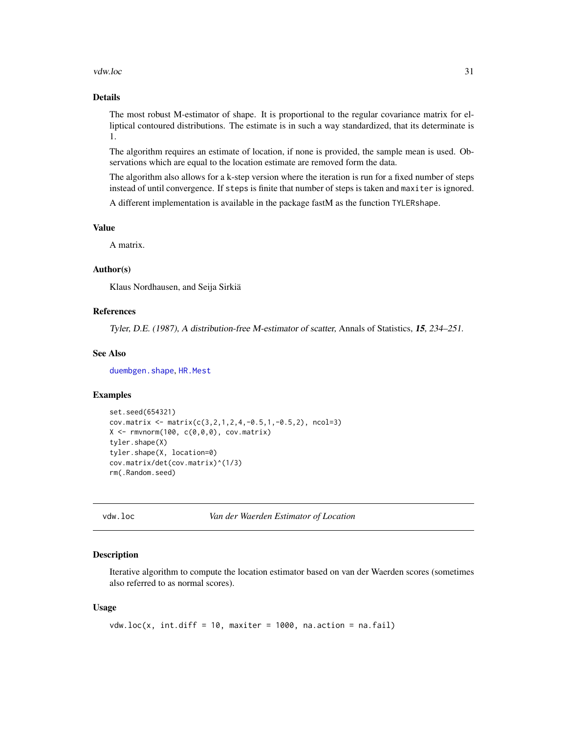#### <span id="page-30-0"></span>vdw.loc 31

# Details

The most robust M-estimator of shape. It is proportional to the regular covariance matrix for elliptical contoured distributions. The estimate is in such a way standardized, that its determinate is 1.

The algorithm requires an estimate of location, if none is provided, the sample mean is used. Observations which are equal to the location estimate are removed form the data.

The algorithm also allows for a k-step version where the iteration is run for a fixed number of steps instead of until convergence. If steps is finite that number of steps is taken and maxiter is ignored.

A different implementation is available in the package fastM as the function TYLERshape.

#### Value

A matrix.

# Author(s)

Klaus Nordhausen, and Seija Sirkiä

#### References

Tyler, D.E. (1987), A distribution-free M-estimator of scatter, Annals of Statistics, 15, 234–251.

#### See Also

[duembgen.shape](#page-2-1), [HR.Mest](#page-10-1)

#### Examples

```
set.seed(654321)
cov.matrix <- matrix(c(3, 2, 1, 2, 4, -0.5, 1, -0.5, 2), ncol=3)
X \leftarrow \text{rmvnorm}(100, c(0,0,0), \text{cov}.\text{matrix})tyler.shape(X)
tyler.shape(X, location=0)
cov.matrix/det(cov.matrix)^(1/3)
rm(.Random.seed)
```

```
vdw.loc Van der Waerden Estimator of Location
```
#### Description

Iterative algorithm to compute the location estimator based on van der Waerden scores (sometimes also referred to as normal scores).

#### Usage

```
vdw.loc(x, int.diff = 10, maxiter = 1000, na.cction = na.fail)
```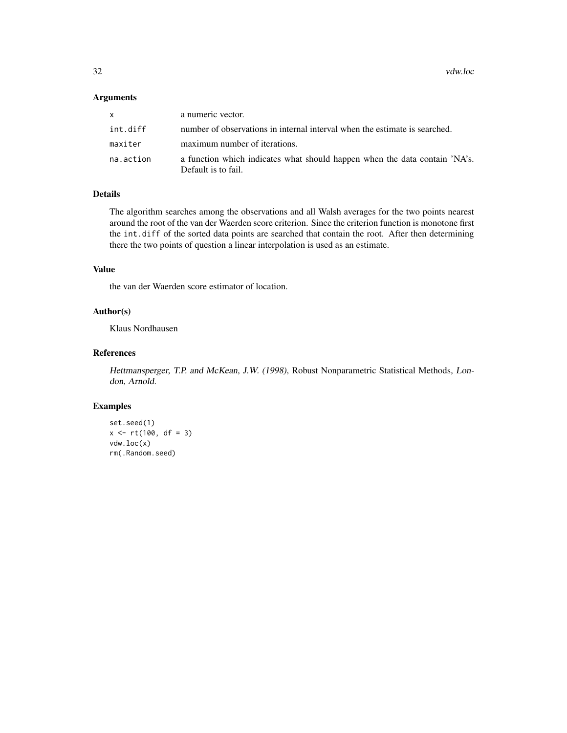32 vdw.loc

# Arguments

| <b>X</b>  | a numeric vector.                                                                                 |
|-----------|---------------------------------------------------------------------------------------------------|
| int.diff  | number of observations in internal interval when the estimate is searched.                        |
| maxiter   | maximum number of iterations.                                                                     |
| na.action | a function which indicates what should happen when the data contain 'NA's.<br>Default is to fail. |

# Details

The algorithm searches among the observations and all Walsh averages for the two points nearest around the root of the van der Waerden score criterion. Since the criterion function is monotone first the int.diff of the sorted data points are searched that contain the root. After then determining there the two points of question a linear interpolation is used as an estimate.

# Value

the van der Waerden score estimator of location.

# Author(s)

Klaus Nordhausen

# References

Hettmansperger, T.P. and McKean, J.W. (1998), Robust Nonparametric Statistical Methods, London, Arnold.

#### Examples

set.seed(1)  $x \le r t(100, df = 3)$ vdw.loc(x) rm(.Random.seed)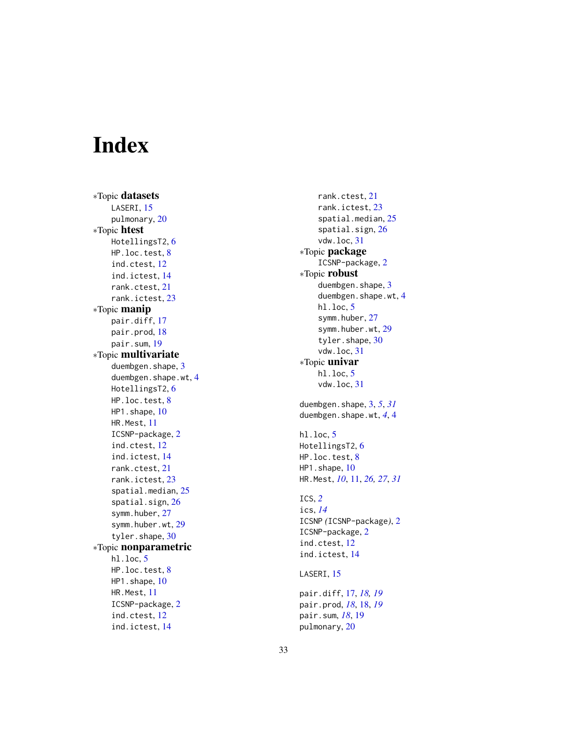# <span id="page-32-0"></span>Index

∗Topic datasets LASERI, [15](#page-14-0) pulmonary , [20](#page-19-0) ∗Topic htest HotellingsT2,[6](#page-5-0) HP.loc.test , [8](#page-7-0) ind.ctest , [12](#page-11-0) ind.ictest , [14](#page-13-0) rank.ctest , [21](#page-20-0) rank.ictest , [23](#page-22-0) ∗Topic manip pair.diff , [17](#page-16-0) pair.prod, [18](#page-17-0) pair.sum , [19](#page-18-0) ∗Topic multivariate duembgen.shape, [3](#page-2-0) duembgen.shape.wt, [4](#page-3-0) HotellingsT2 , [6](#page-5-0) HP.loc.test, [8](#page-7-0) HP1.shape, [10](#page-9-0) HR.Mest , [11](#page-10-0) ICSNP-package , [2](#page-1-0) ind.ctest , [12](#page-11-0) ind.ictest , [14](#page-13-0) rank.ctest , [21](#page-20-0) rank.ictest , [23](#page-22-0) spatial.median , [25](#page-24-0) spatial.sign , [26](#page-25-0) symm.huber, [27](#page-26-0) symm.huber.wt, [29](#page-28-0) tyler.shape, [30](#page-29-0) ∗Topic nonparametric hl.loc , [5](#page-4-0) HP.loc.test , [8](#page-7-0) HP1.shape, [10](#page-9-0) HR.Mest , [11](#page-10-0) ICSNP-package , [2](#page-1-0) ind.ctest , [12](#page-11-0) ind.ictest , [14](#page-13-0)

rank.ctest , [21](#page-20-0) rank.ictest , [23](#page-22-0) spatial.median , [25](#page-24-0) spatial.sign , [26](#page-25-0) vdw.loc , [31](#page-30-0) ∗Topic package ICSNP-package, [2](#page-1-0) ∗Topic robust duembgen.shape, [3](#page-2-0) duembgen.shape.wt , [4](#page-3-0) hl.loc , [5](#page-4-0) symm.huber, [27](#page-26-0) symm.huber.wt, [29](#page-28-0) tyler.shape, [30](#page-29-0) vdw.loc , [31](#page-30-0) ∗Topic univar hl.loc , [5](#page-4-0) vdw.loc , [31](#page-30-0) duembgen.shape , [3](#page-2-0) , *[5](#page-4-0)* , *[31](#page-30-0)* duembgen.shape.wt , *[4](#page-3-0)* , [4](#page-3-0) hl.loc , [5](#page-4-0) HotellingsT2 , [6](#page-5-0) HP.loc.test , [8](#page-7-0) HP1.shape, [10](#page-9-0) HR.Mest , *[10](#page-9-0)* , [11](#page-10-0) , *[26,](#page-25-0) [27](#page-26-0)* , *[31](#page-30-0)* ICS , *[2](#page-1-0)* ics , *[14](#page-13-0)* ICSNP *(*ICSNP-package *)* , [2](#page-1-0) ICSNP-package , [2](#page-1-0) ind.ctest , [12](#page-11-0) ind.ictest , [14](#page-13-0) LASERI, [15](#page-14-0) pair.diff , [17](#page-16-0) , *[18](#page-17-0) , [19](#page-18-0)* pair.prod , *[18](#page-17-0)* , [18](#page-17-0) , *[19](#page-18-0)* pair.sum , *[18](#page-17-0)* , [19](#page-18-0) pulmonary , [20](#page-19-0)